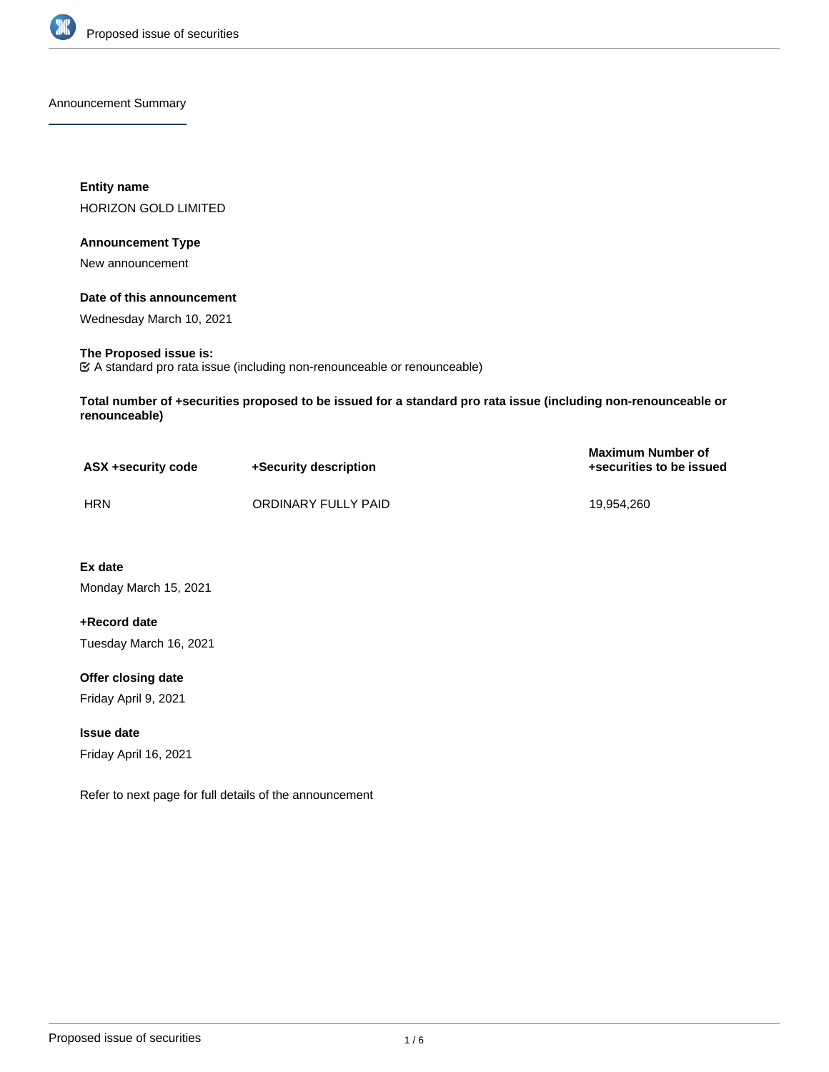

Announcement Summary

**Entity name** HORIZON GOLD LIMITED

### **Announcement Type**

New announcement

## **Date of this announcement**

Wednesday March 10, 2021

### **The Proposed issue is:**

A standard pro rata issue (including non-renounceable or renounceable)

**Total number of +securities proposed to be issued for a standard pro rata issue (including non-renounceable or renounceable)**

| ASX +security code | +Security description | <b>Maximum Number of</b><br>+securities to be issued |
|--------------------|-----------------------|------------------------------------------------------|
| <b>HRN</b>         | ORDINARY FULLY PAID   | 19.954.260                                           |

**Ex date** Monday March 15, 2021

**+Record date** Tuesday March 16, 2021

**Offer closing date** Friday April 9, 2021

**Issue date** Friday April 16, 2021

Refer to next page for full details of the announcement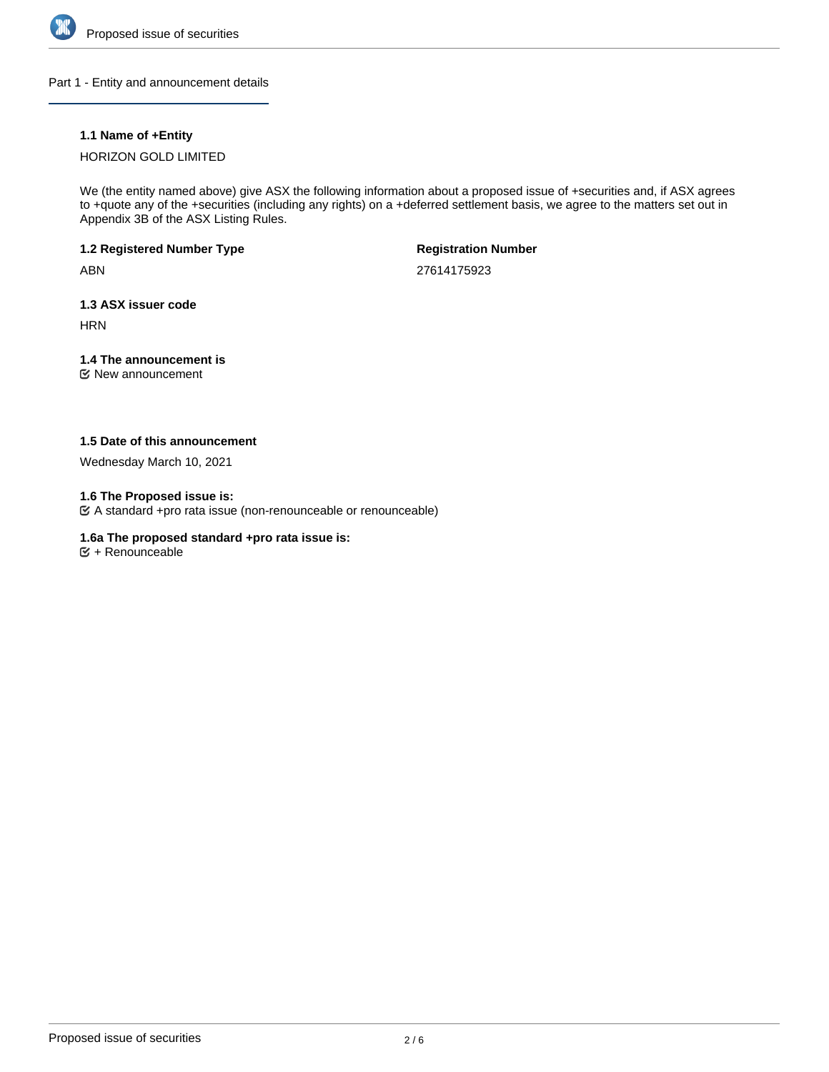

Part 1 - Entity and announcement details

# **1.1 Name of +Entity**

# HORIZON GOLD LIMITED

We (the entity named above) give ASX the following information about a proposed issue of +securities and, if ASX agrees to +quote any of the +securities (including any rights) on a +deferred settlement basis, we agree to the matters set out in Appendix 3B of the ASX Listing Rules.

# **1.2 Registered Number Type**

ABN

**Registration Number**

27614175923

# **1.3 ASX issuer code**

**HRN** 

# **1.4 The announcement is**

New announcement

## **1.5 Date of this announcement**

Wednesday March 10, 2021

## **1.6 The Proposed issue is:**

A standard +pro rata issue (non-renounceable or renounceable)

## **1.6a The proposed standard +pro rata issue is:**

 $\mathfrak{S}$  + Renounceable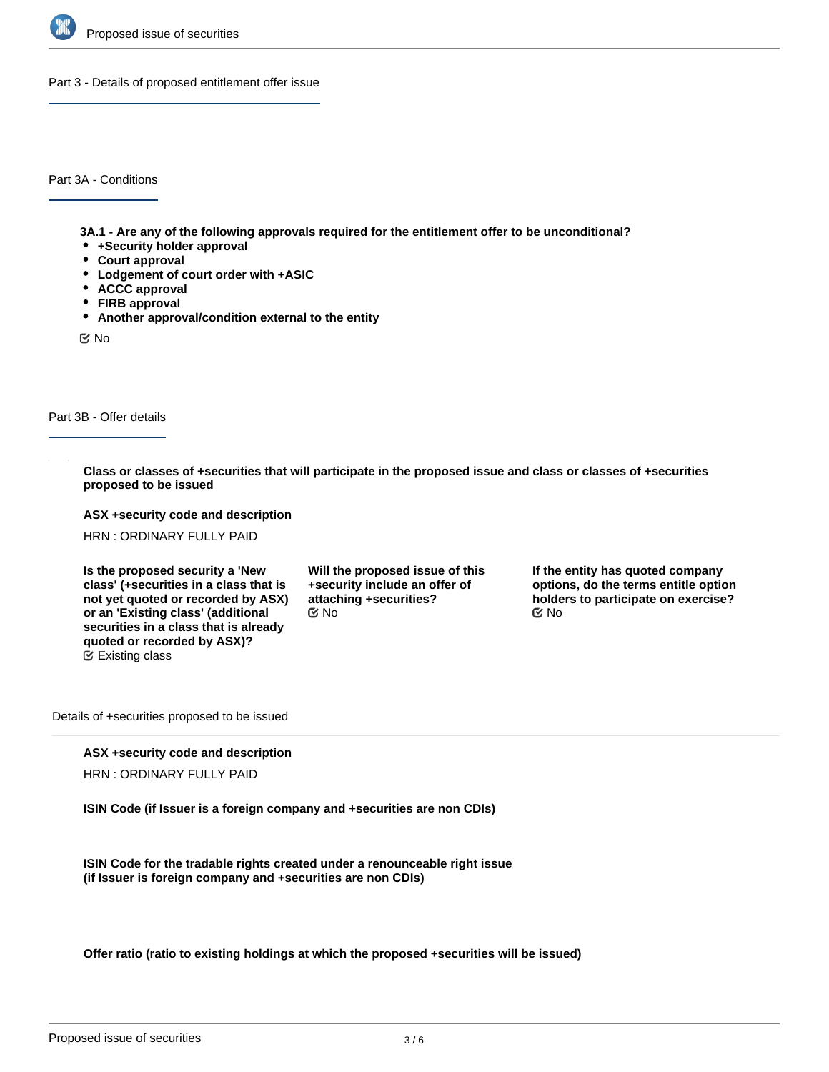

Part 3 - Details of proposed entitlement offer issue

Part 3A - Conditions

**3A.1 - Are any of the following approvals required for the entitlement offer to be unconditional?**

- **+Security holder approval**
- **Court approval**
- **Lodgement of court order with +ASIC**
- **ACCC approval**
- **FIRB approval**
- **Another approval/condition external to the entity**

No

## Part 3B - Offer details

**Class or classes of +securities that will participate in the proposed issue and class or classes of +securities proposed to be issued**

**ASX +security code and description**

HRN : ORDINARY FULLY PAID

**Is the proposed security a 'New class' (+securities in a class that is not yet quoted or recorded by ASX) or an 'Existing class' (additional securities in a class that is already quoted or recorded by ASX)?** Existing class

**Will the proposed issue of this +security include an offer of attaching +securities?**

**If the entity has quoted company options, do the terms entitle option holders to participate on exercise?** No No

Details of +securities proposed to be issued

#### **ASX +security code and description**

HRN : ORDINARY FULLY PAID

**ISIN Code (if Issuer is a foreign company and +securities are non CDIs)**

**ISIN Code for the tradable rights created under a renounceable right issue (if Issuer is foreign company and +securities are non CDIs)**

**Offer ratio (ratio to existing holdings at which the proposed +securities will be issued)**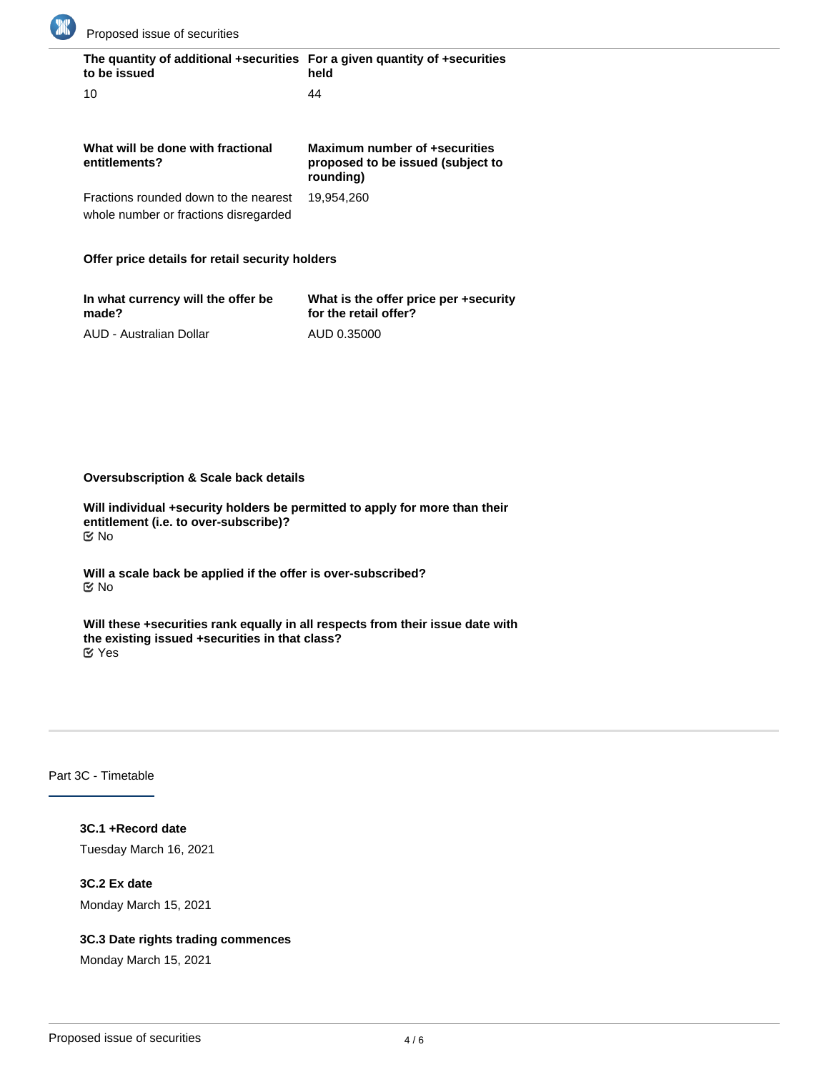

| The quantity of additional +securities For a given quantity of +securities<br>to be issued | held                                                                            |
|--------------------------------------------------------------------------------------------|---------------------------------------------------------------------------------|
| 10                                                                                         | 44                                                                              |
| What will be done with fractional<br>entitlements?                                         | Maximum number of +securities<br>proposed to be issued (subject to<br>rounding) |
| Fractions rounded down to the nearest<br>whole number or fractions disregarded             | 19.954.260                                                                      |

# **Offer price details for retail security holders**

| In what currency will the offer be | What is the offer price per +security |
|------------------------------------|---------------------------------------|
| made?                              | for the retail offer?                 |
| AUD - Australian Dollar            | AUD 0.35000                           |

# **Oversubscription & Scale back details**

**Will individual +security holders be permitted to apply for more than their entitlement (i.e. to over-subscribe)?** No

**Will a scale back be applied if the offer is over-subscribed?** No

**Will these +securities rank equally in all respects from their issue date with the existing issued +securities in that class?** Yes

# Part 3C - Timetable

**3C.1 +Record date** Tuesday March 16, 2021

**3C.2 Ex date** Monday March 15, 2021

## **3C.3 Date rights trading commences**

Monday March 15, 2021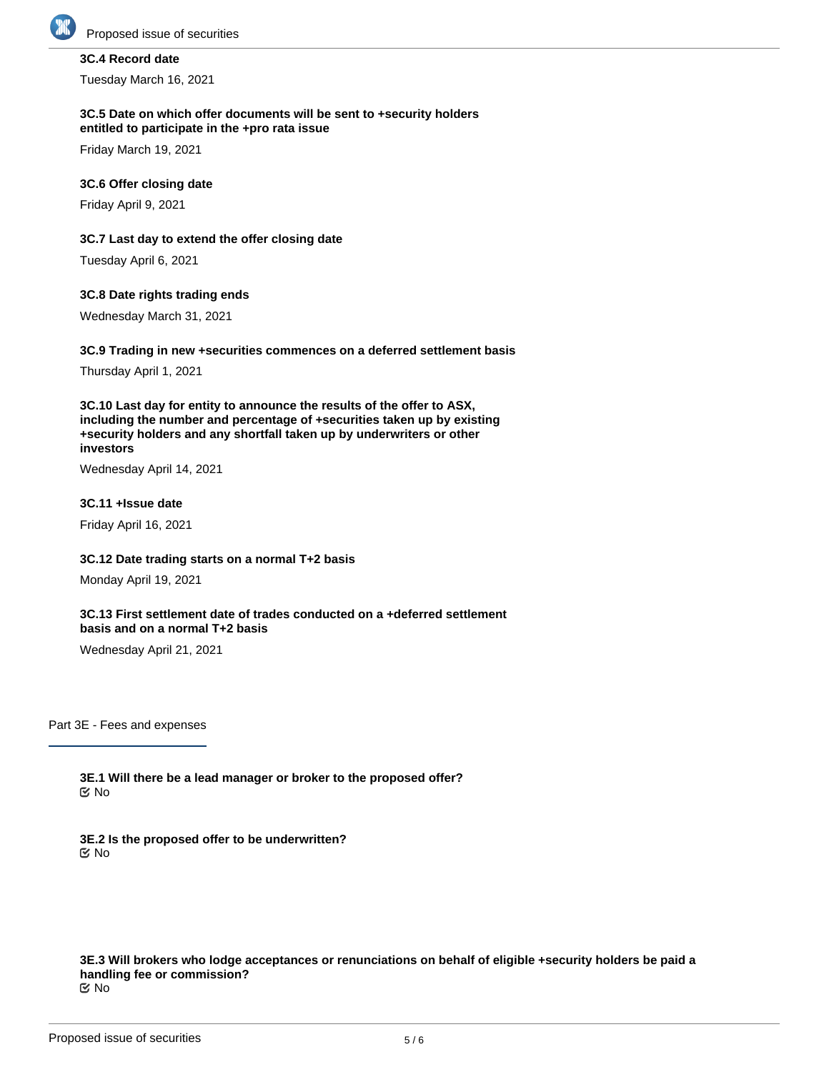

# **3C.4 Record date**

Tuesday March 16, 2021

#### **3C.5 Date on which offer documents will be sent to +security holders entitled to participate in the +pro rata issue**

Friday March 19, 2021

### **3C.6 Offer closing date**

Friday April 9, 2021

### **3C.7 Last day to extend the offer closing date**

Tuesday April 6, 2021

### **3C.8 Date rights trading ends**

Wednesday March 31, 2021

### **3C.9 Trading in new +securities commences on a deferred settlement basis**

Thursday April 1, 2021

**3C.10 Last day for entity to announce the results of the offer to ASX, including the number and percentage of +securities taken up by existing +security holders and any shortfall taken up by underwriters or other investors**

Wednesday April 14, 2021

### **3C.11 +Issue date**

Friday April 16, 2021

## **3C.12 Date trading starts on a normal T+2 basis**

Monday April 19, 2021

## **3C.13 First settlement date of trades conducted on a +deferred settlement basis and on a normal T+2 basis**

Wednesday April 21, 2021

Part 3E - Fees and expenses

**3E.1 Will there be a lead manager or broker to the proposed offer?** No

**3E.2 Is the proposed offer to be underwritten?** No

**3E.3 Will brokers who lodge acceptances or renunciations on behalf of eligible +security holders be paid a handling fee or commission?** No